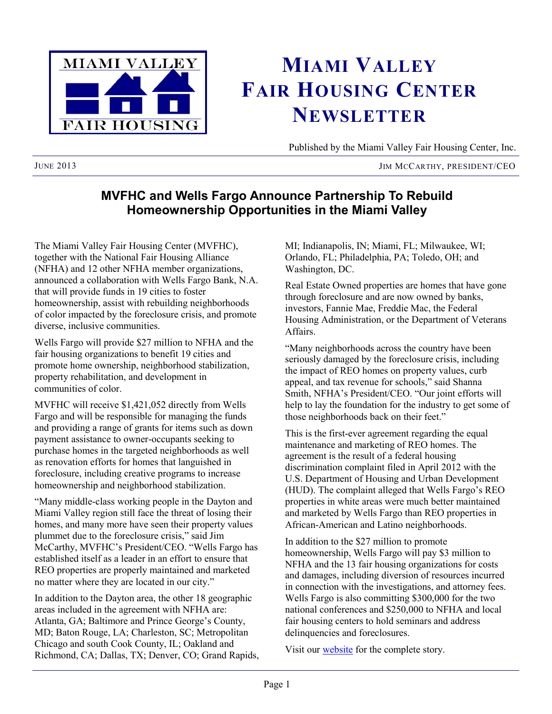

# **MIAMI VALLEY FAIR HOUSING CENTER NEWSLETTER**

Published by the Miami Valley Fair Housing Center, Inc.

JIM MCCARTHY, PRESIDENT/CEO

## **MVFHC and Wells Fargo Announce Partnership To Rebuild Homeownership Opportunities in the Miami Valley**

The Miami Valley Fair Housing Center (MVFHC), together with the National Fair Housing Alliance (NFHA) and 12 other NFHA member organizations, announced a collaboration with Wells Fargo Bank, N.A. that will provide funds in 19 cities to foster homeownership, assist with rebuilding neighborhoods of color impacted by the foreclosure crisis, and promote diverse, inclusive communities.

Wells Fargo will provide \$27 million to NFHA and the fair housing organizations to benefit 19 cities and promote home ownership, neighborhood stabilization, property rehabilitation, and development in communities of color.

MVFHC will receive \$1,421,052 directly from Wells Fargo and will be responsible for managing the funds and providing a range of grants for items such as down payment assistance to owner-occupants seeking to purchase homes in the targeted neighborhoods as well as renovation efforts for homes that languished in foreclosure, including creative programs to increase homeownership and neighborhood stabilization.

"Many middle-class working people in the Dayton and Miami Valley region still face the threat of losing their homes, and many more have seen their property values plummet due to the foreclosure crisis," said Jim McCarthy, MVFHC's President/CEO. "Wells Fargo has established itself as a leader in an effort to ensure that REO properties are properly maintained and marketed no matter where they are located in our city."

In addition to the Dayton area, the other 18 geographic areas included in the agreement with NFHA are: Atlanta, GA; Baltimore and Prince George's County, MD; Baton Rouge, LA; Charleston, SC; Metropolitan Chicago and south Cook County, IL; Oakland and Richmond, CA; Dallas, TX; Denver, CO; Grand Rapids, MI; Indianapolis, IN; Miami, FL; Milwaukee, WI; Orlando, FL; Philadelphia, PA; Toledo, OH; and Washington, DC.

Real Estate Owned properties are homes that have gone through foreclosure and are now owned by banks, investors, Fannie Mae, Freddie Mac, the Federal Housing Administration, or the Department of Veterans **Affairs** 

"Many neighborhoods across the country have been seriously damaged by the foreclosure crisis, including the impact of REO homes on property values, curb appeal, and tax revenue for schools," said Shanna Smith, NFHA's President/CEO. "Our joint efforts will help to lay the foundation for the industry to get some of those neighborhoods back on their feet."

This is the first-ever agreement regarding the equal maintenance and marketing of REO homes. The agreement is the result of a federal housing discrimination complaint filed in April 2012 with the U.S. Department of Housing and Urban Development (HUD). The complaint alleged that Wells Fargo's REO properties in white areas were much better maintained and marketed by Wells Fargo than REO properties in African-American and Latino neighborhoods.

In addition to the \$27 million to promote homeownership, Wells Fargo will pay \$3 million to NFHA and the 13 fair housing organizations for costs and damages, including diversion of resources incurred in connection with the investigations, and attorney fees. Wells Fargo is also committing \$300,000 for the two national conferences and \$250,000 to NFHA and local fair housing centers to hold seminars and address delinquencies and foreclosures.

Visit our **[website](http://www.mvfairhousing.com/)** for the complete story.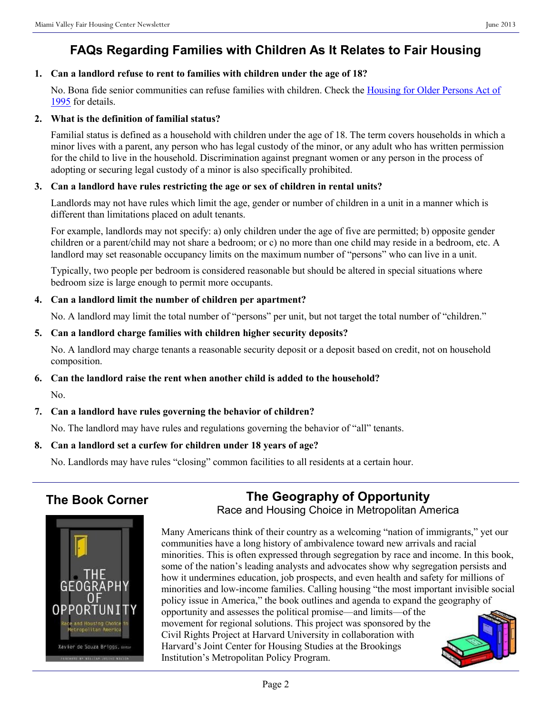# **FAQs Regarding Families with Children As It Relates to Fair Housing**

## **1. Can a landlord refuse to rent to families with children under the age of 18?**

No. Bona fide senior communities can refuse families with children. Check the [Housing for Older Persons Act of](http://www.hud.gov/offices/fheo/library/hopa_final.pdf)  [1995](http://www.hud.gov/offices/fheo/library/hopa_final.pdf) for details.

#### **2. What is the definition of familial status?**

Familial status is defined as a household with children under the age of 18. The term covers households in which a minor lives with a parent, any person who has legal custody of the minor, or any adult who has written permission for the child to live in the household. Discrimination against pregnant women or any person in the process of adopting or securing legal custody of a minor is also specifically prohibited.

## **3. Can a landlord have rules restricting the age or sex of children in rental units?**

Landlords may not have rules which limit the age, gender or number of children in a unit in a manner which is different than limitations placed on adult tenants.

For example, landlords may not specify: a) only children under the age of five are permitted; b) opposite gender children or a parent/child may not share a bedroom; or c) no more than one child may reside in a bedroom, etc. A landlord may set reasonable occupancy limits on the maximum number of "persons" who can live in a unit.

Typically, two people per bedroom is considered reasonable but should be altered in special situations where bedroom size is large enough to permit more occupants.

## **4. Can a landlord limit the number of children per apartment?**

No. A landlord may limit the total number of "persons" per unit, but not target the total number of "children."

#### **5. Can a landlord charge families with children higher security deposits?**

No. A landlord may charge tenants a reasonable security deposit or a deposit based on credit, not on household composition.

## **6. Can the landlord raise the rent when another child is added to the household?**

No.

## **7. Can a landlord have rules governing the behavior of children?**

No. The landlord may have rules and regulations governing the behavior of "all" tenants.

## **8. Can a landlord set a curfew for children under 18 years of age?**

No. Landlords may have rules "closing" common facilities to all residents at a certain hour.

## **The Book Corner**





Many Americans think of their country as a welcoming "nation of immigrants," yet our communities have a long history of ambivalence toward new arrivals and racial minorities. This is often expressed through segregation by race and income. In this book, some of the nation's leading analysts and advocates show why segregation persists and how it undermines education, job prospects, and even health and safety for millions of minorities and low-income families. Calling housing "the most important invisible social policy issue in America," the book outlines and agenda to expand the geography of opportunity and assesses the political promise—and limits—of the movement for regional solutions. This project was sponsored by the Civil Rights Project at Harvard University in collaboration with Harvard's Joint Center for Housing Studies at the Brookings Institution's Metropolitan Policy Program.